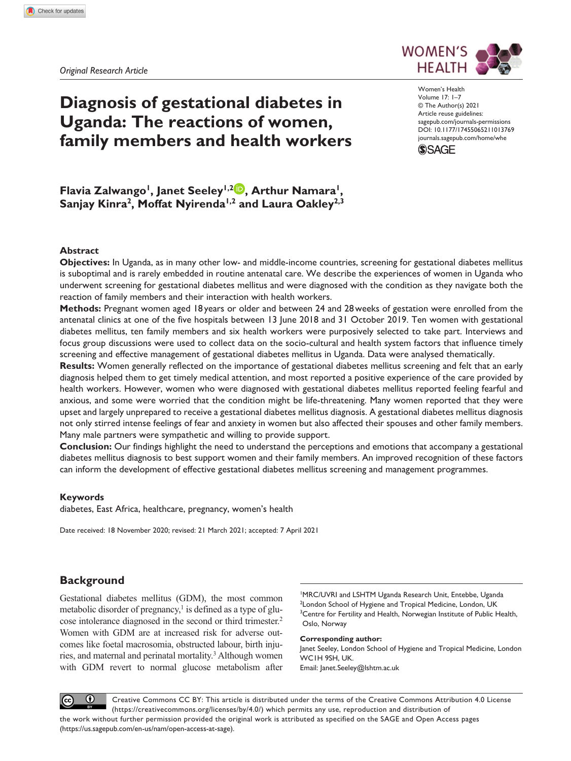

# **Diagnosis of gestational diabetes in Uganda: The reactions of women, family members and health workers**

DOI: 10.1177/17455065211013769 Women's Health Volume 17: 1–7 © The Author(s) 2021 Article reuse guidelines: [sagepub.com/journals-permissions](https://uk.sagepub.com/en-gb/journals-permissions) [journals.sagepub.com/home/whe](https://journals.sagepub.com/home/whe)



# Flavia Zalwango<sup>1</sup>, Janet Seeley<sup>1,2</sup><sup>D</sup>, Arthur Namara<sup>1</sup>, Sanjay Kinra<sup>2</sup>, Moffat Nyirenda<sup>1,2</sup> and Laura Oakley<sup>2,3</sup>

### **Abstract**

**Objectives:** In Uganda, as in many other low- and middle-income countries, screening for gestational diabetes mellitus is suboptimal and is rarely embedded in routine antenatal care. We describe the experiences of women in Uganda who underwent screening for gestational diabetes mellitus and were diagnosed with the condition as they navigate both the reaction of family members and their interaction with health workers.

**Methods:** Pregnant women aged 18 years or older and between 24 and 28weeks of gestation were enrolled from the antenatal clinics at one of the five hospitals between 13 June 2018 and 31 October 2019. Ten women with gestational diabetes mellitus, ten family members and six health workers were purposively selected to take part. Interviews and focus group discussions were used to collect data on the socio-cultural and health system factors that influence timely screening and effective management of gestational diabetes mellitus in Uganda. Data were analysed thematically.

**Results:** Women generally reflected on the importance of gestational diabetes mellitus screening and felt that an early diagnosis helped them to get timely medical attention, and most reported a positive experience of the care provided by health workers. However, women who were diagnosed with gestational diabetes mellitus reported feeling fearful and anxious, and some were worried that the condition might be life-threatening. Many women reported that they were upset and largely unprepared to receive a gestational diabetes mellitus diagnosis. A gestational diabetes mellitus diagnosis not only stirred intense feelings of fear and anxiety in women but also affected their spouses and other family members. Many male partners were sympathetic and willing to provide support.

**Conclusion:** Our findings highlight the need to understand the perceptions and emotions that accompany a gestational diabetes mellitus diagnosis to best support women and their family members. An improved recognition of these factors can inform the development of effective gestational diabetes mellitus screening and management programmes.

### **Keywords**

diabetes, East Africa, healthcare, pregnancy, women's health

Date received: 18 November 2020; revised: 21 March 2021; accepted: 7 April 2021

# **Background**

Gestational diabetes mellitus (GDM), the most common metabolic disorder of pregnancy,<sup>1</sup> is defined as a type of glucose intolerance diagnosed in the second or third trimester.2 Women with GDM are at increased risk for adverse outcomes like foetal macrosomia, obstructed labour, birth injuries, and maternal and perinatal mortality.<sup>3</sup> Although women with GDM revert to normal glucose metabolism after

1 MRC/UVRI and LSHTM Uganda Research Unit, Entebbe, Uganda <sup>2</sup> London School of Hygiene and Tropical Medicine, London, UK <sup>3</sup> Centre for Fertility and Health, Norwegian Institute of Public Health, Oslo, Norway

#### **Corresponding author:**

Janet Seeley, London School of Hygiene and Tropical Medicine, London WC1H 9SH, UK. Email: [Janet.Seeley@lshtm.ac.uk](mailto:Janet.Seeley@lshtm.ac.uk)

 $\bf \Theta$ Creative Commons CC BY: This article is distributed under the terms of the Creative Commons Attribution 4.0 License  $(c)$ (https://creativecommons.org/licenses/by/4.0/) which permits any use, reproduction and distribution of the work without further permission provided the original work is attributed as specified on the SAGE and Open Access pages (https://us.sagepub.com/en-us/nam/open-access-at-sage).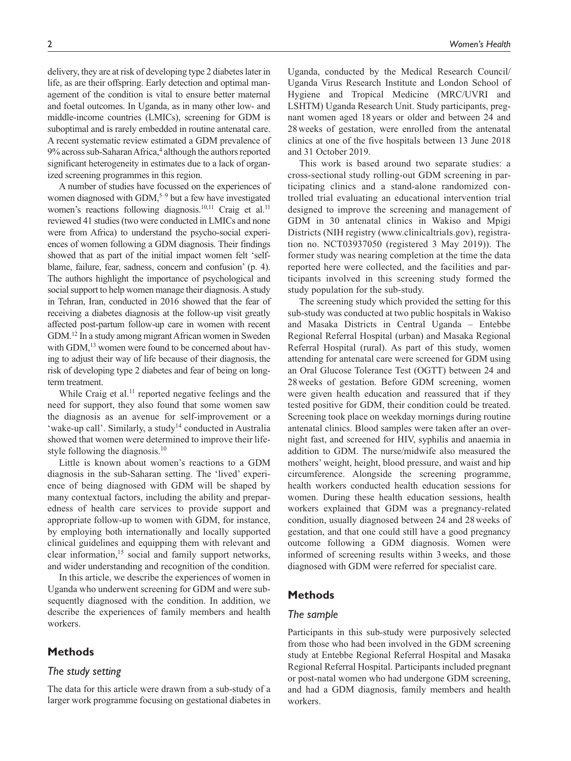delivery, they are at risk of developing type 2 diabetes later in life, as are their offspring. Early detection and optimal management of the condition is vital to ensure better maternal and foetal outcomes. In Uganda, as in many other low- and middle-income countries (LMICs), screening for GDM is suboptimal and is rarely embedded in routine antenatal care. A recent systematic review estimated a GDM prevalence of 9% across sub-Saharan Africa,<sup>4</sup> although the authors reported significant heterogeneity in estimates due to a lack of organized screening programmes in this region.

A number of studies have focussed on the experiences of women diagnosed with GDM,<sup>5-9</sup> but a few have investigated women's reactions following diagnosis.<sup>10,11</sup> Craig et al.<sup>11</sup> reviewed 41 studies (two were conducted in LMICs and none were from Africa) to understand the psycho-social experiences of women following a GDM diagnosis. Their findings showed that as part of the initial impact women felt 'selfblame, failure, fear, sadness, concern and confusion' (p. 4). The authors highlight the importance of psychological and social support to help women manage their diagnosis. A study in Tehran, Iran, conducted in 2016 showed that the fear of receiving a diabetes diagnosis at the follow-up visit greatly affected post-partum follow-up care in women with recent GDM.12 In a study among migrant African women in Sweden with GDM,<sup>13</sup> women were found to be concerned about having to adjust their way of life because of their diagnosis, the risk of developing type 2 diabetes and fear of being on longterm treatment.

While Craig et al.<sup>11</sup> reported negative feelings and the need for support, they also found that some women saw the diagnosis as an avenue for self-improvement or a 'wake-up call'. Similarly, a study<sup>14</sup> conducted in Australia showed that women were determined to improve their lifestyle following the diagnosis.<sup>10</sup>

Little is known about women's reactions to a GDM diagnosis in the sub-Saharan setting. The 'lived' experience of being diagnosed with GDM will be shaped by many contextual factors, including the ability and preparedness of health care services to provide support and appropriate follow-up to women with GDM, for instance, by employing both internationally and locally supported clinical guidelines and equipping them with relevant and clear information,15 social and family support networks, and wider understanding and recognition of the condition.

In this article, we describe the experiences of women in Uganda who underwent screening for GDM and were subsequently diagnosed with the condition. In addition, we describe the experiences of family members and health workers.

### **Methods**

### *The study setting*

The data for this article were drawn from a sub-study of a larger work programme focusing on gestational diabetes in Uganda, conducted by the Medical Research Council/ Uganda Virus Research Institute and London School of Hygiene and Tropical Medicine (MRC/UVRI and LSHTM) Uganda Research Unit. Study participants, pregnant women aged 18 years or older and between 24 and 28weeks of gestation, were enrolled from the antenatal clinics at one of the five hospitals between 13 June 2018 and 31 October 2019.

This work is based around two separate studies: a cross-sectional study rolling-out GDM screening in participating clinics and a stand-alone randomized controlled trial evaluating an educational intervention trial designed to improve the screening and management of GDM in 30 antenatal clinics in Wakiso and Mpigi Districts (NIH registry ([www.clinicaltrials.gov\)](www.clinicaltrials.gov), registration no. NCT03937050 (registered 3 May 2019)). The former study was nearing completion at the time the data reported here were collected, and the facilities and participants involved in this screening study formed the study population for the sub-study.

The screening study which provided the setting for this sub-study was conducted at two public hospitals in Wakiso and Masaka Districts in Central Uganda – Entebbe Regional Referral Hospital (urban) and Masaka Regional Referral Hospital (rural). As part of this study, women attending for antenatal care were screened for GDM using an Oral Glucose Tolerance Test (OGTT) between 24 and 28weeks of gestation. Before GDM screening, women were given health education and reassured that if they tested positive for GDM, their condition could be treated. Screening took place on weekday mornings during routine antenatal clinics. Blood samples were taken after an overnight fast, and screened for HIV, syphilis and anaemia in addition to GDM. The nurse/midwife also measured the mothers' weight, height, blood pressure, and waist and hip circumference. Alongside the screening programme, health workers conducted health education sessions for women. During these health education sessions, health workers explained that GDM was a pregnancy-related condition, usually diagnosed between 24 and 28weeks of gestation, and that one could still have a good pregnancy outcome following a GDM diagnosis. Women were informed of screening results within 3weeks, and those diagnosed with GDM were referred for specialist care.

# **Methods**

# *The sample*

Participants in this sub-study were purposively selected from those who had been involved in the GDM screening study at Entebbe Regional Referral Hospital and Masaka Regional Referral Hospital. Participants included pregnant or post-natal women who had undergone GDM screening, and had a GDM diagnosis, family members and health workers.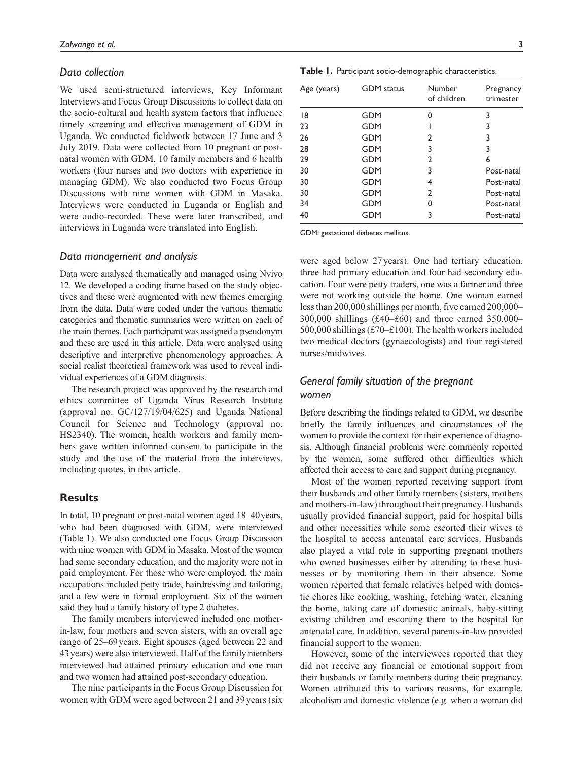### *Data collection*

We used semi-structured interviews, Key Informant Interviews and Focus Group Discussions to collect data on the socio-cultural and health system factors that influence timely screening and effective management of GDM in Uganda. We conducted fieldwork between 17 June and 3 July 2019. Data were collected from 10 pregnant or postnatal women with GDM, 10 family members and 6 health workers (four nurses and two doctors with experience in managing GDM). We also conducted two Focus Group Discussions with nine women with GDM in Masaka. Interviews were conducted in Luganda or English and were audio-recorded. These were later transcribed, and interviews in Luganda were translated into English.

### *Data management and analysis*

Data were analysed thematically and managed using Nvivo 12. We developed a coding frame based on the study objectives and these were augmented with new themes emerging from the data. Data were coded under the various thematic categories and thematic summaries were written on each of the main themes. Each participant was assigned a pseudonym and these are used in this article. Data were analysed using descriptive and interpretive phenomenology approaches. A social realist theoretical framework was used to reveal individual experiences of a GDM diagnosis.

The research project was approved by the research and ethics committee of Uganda Virus Research Institute (approval no. GC/127/19/04/625) and Uganda National Council for Science and Technology (approval no. HS2340). The women, health workers and family members gave written informed consent to participate in the study and the use of the material from the interviews, including quotes, in this article.

### **Results**

In total, 10 pregnant or post-natal women aged 18–40years, who had been diagnosed with GDM, were interviewed (Table 1). We also conducted one Focus Group Discussion with nine women with GDM in Masaka. Most of the women had some secondary education, and the majority were not in paid employment. For those who were employed, the main occupations included petty trade, hairdressing and tailoring, and a few were in formal employment. Six of the women said they had a family history of type 2 diabetes.

The family members interviewed included one motherin-law, four mothers and seven sisters, with an overall age range of 25–69years. Eight spouses (aged between 22 and 43years) were also interviewed. Half of the family members interviewed had attained primary education and one man and two women had attained post-secondary education.

The nine participants in the Focus Group Discussion for women with GDM were aged between 21 and 39years (six

| Age (years) | <b>GDM</b> status | Number<br>of children | Pregnancy<br>trimester |
|-------------|-------------------|-----------------------|------------------------|
| 8           | <b>GDM</b>        | ი                     | 3                      |
| 23          | <b>GDM</b>        |                       | 3                      |
| 26          | <b>GDM</b>        | 2                     | 3                      |
| 28          | <b>GDM</b>        | 3                     | 3                      |
| 29          | <b>GDM</b>        | 2                     | 6                      |
| 30          | <b>GDM</b>        | 3                     | Post-natal             |
| 30          | <b>GDM</b>        | 4                     | Post-natal             |
| 30          | <b>GDM</b>        | 2                     | Post-natal             |
| 34          | <b>GDM</b>        | 0                     | Post-natal             |
| 40          | GDM               | 3                     | Post-natal             |

GDM: gestational diabetes mellitus.

were aged below 27years). One had tertiary education, three had primary education and four had secondary education. Four were petty traders, one was a farmer and three were not working outside the home. One woman earned less than 200,000 shillings per month, five earned 200,000– 300,000 shillings (£40–£60) and three earned 350,000– 500,000 shillings (£70–£100). The health workers included two medical doctors (gynaecologists) and four registered nurses/midwives.

# *General family situation of the pregnant women*

Before describing the findings related to GDM, we describe briefly the family influences and circumstances of the women to provide the context for their experience of diagnosis. Although financial problems were commonly reported by the women, some suffered other difficulties which affected their access to care and support during pregnancy.

Most of the women reported receiving support from their husbands and other family members (sisters, mothers and mothers-in-law) throughout their pregnancy. Husbands usually provided financial support, paid for hospital bills and other necessities while some escorted their wives to the hospital to access antenatal care services. Husbands also played a vital role in supporting pregnant mothers who owned businesses either by attending to these businesses or by monitoring them in their absence. Some women reported that female relatives helped with domestic chores like cooking, washing, fetching water, cleaning the home, taking care of domestic animals, baby-sitting existing children and escorting them to the hospital for antenatal care. In addition, several parents-in-law provided financial support to the women.

However, some of the interviewees reported that they did not receive any financial or emotional support from their husbands or family members during their pregnancy. Women attributed this to various reasons, for example, alcoholism and domestic violence (e.g. when a woman did

**Table 1.** Participant socio-demographic characteristics.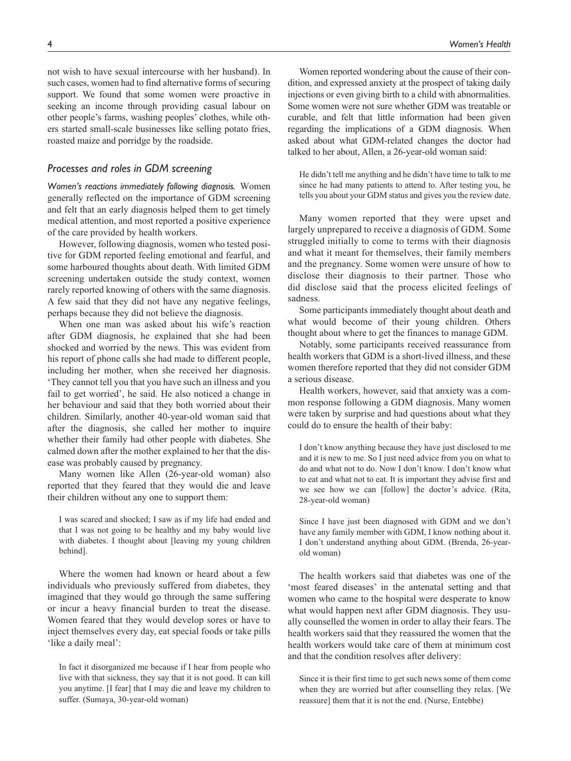not wish to have sexual intercourse with her husband). In such cases, women had to find alternative forms of securing support. We found that some women were proactive in seeking an income through providing casual labour on other people's farms, washing peoples' clothes, while others started small-scale businesses like selling potato fries, roasted maize and porridge by the roadside.

# *Processes and roles in GDM screening*

*Women's reactions immediately following diagnosis.* Women generally reflected on the importance of GDM screening and felt that an early diagnosis helped them to get timely medical attention, and most reported a positive experience of the care provided by health workers.

However, following diagnosis, women who tested positive for GDM reported feeling emotional and fearful, and some harboured thoughts about death. With limited GDM screening undertaken outside the study context, women rarely reported knowing of others with the same diagnosis. A few said that they did not have any negative feelings, perhaps because they did not believe the diagnosis.

When one man was asked about his wife's reaction after GDM diagnosis, he explained that she had been shocked and worried by the news. This was evident from his report of phone calls she had made to different people, including her mother, when she received her diagnosis. 'They cannot tell you that you have such an illness and you fail to get worried', he said. He also noticed a change in her behaviour and said that they both worried about their children. Similarly, another 40-year-old woman said that after the diagnosis, she called her mother to inquire whether their family had other people with diabetes. She calmed down after the mother explained to her that the disease was probably caused by pregnancy.

Many women like Allen (26-year-old woman) also reported that they feared that they would die and leave their children without any one to support them:

I was scared and shocked; I saw as if my life had ended and that I was not going to be healthy and my baby would live with diabetes. I thought about [leaving my young children behind].

Where the women had known or heard about a few individuals who previously suffered from diabetes, they imagined that they would go through the same suffering or incur a heavy financial burden to treat the disease. Women feared that they would develop sores or have to inject themselves every day, eat special foods or take pills 'like a daily meal':

In fact it disorganized me because if I hear from people who live with that sickness, they say that it is not good. It can kill you anytime. [I fear] that I may die and leave my children to suffer. (Sumaya, 30-year-old woman)

dition, and expressed anxiety at the prospect of taking daily injections or even giving birth to a child with abnormalities. Some women were not sure whether GDM was treatable or curable, and felt that little information had been given regarding the implications of a GDM diagnosis. When asked about what GDM-related changes the doctor had talked to her about, Allen, a 26-year-old woman said:

He didn't tell me anything and he didn't have time to talk to me since he had many patients to attend to. After testing you, he tells you about your GDM status and gives you the review date.

Many women reported that they were upset and largely unprepared to receive a diagnosis of GDM. Some struggled initially to come to terms with their diagnosis and what it meant for themselves, their family members and the pregnancy. Some women were unsure of how to disclose their diagnosis to their partner. Those who did disclose said that the process elicited feelings of sadness.

Some participants immediately thought about death and what would become of their young children. Others thought about where to get the finances to manage GDM.

Notably, some participants received reassurance from health workers that GDM is a short-lived illness, and these women therefore reported that they did not consider GDM a serious disease.

Health workers, however, said that anxiety was a common response following a GDM diagnosis. Many women were taken by surprise and had questions about what they could do to ensure the health of their baby:

I don't know anything because they have just disclosed to me and it is new to me. So I just need advice from you on what to do and what not to do. Now I don't know. I don't know what to eat and what not to eat. It is important they advise first and we see how we can [follow] the doctor's advice. (Rita, 28-year-old woman)

Since I have just been diagnosed with GDM and we don't have any family member with GDM, I know nothing about it. I don't understand anything about GDM. (Brenda, 26-yearold woman)

The health workers said that diabetes was one of the 'most feared diseases' in the antenatal setting and that women who came to the hospital were desperate to know what would happen next after GDM diagnosis. They usually counselled the women in order to allay their fears. The health workers said that they reassured the women that the health workers would take care of them at minimum cost and that the condition resolves after delivery:

Since it is their first time to get such news some of them come when they are worried but after counselling they relax. [We reassure] them that it is not the end. (Nurse, Entebbe)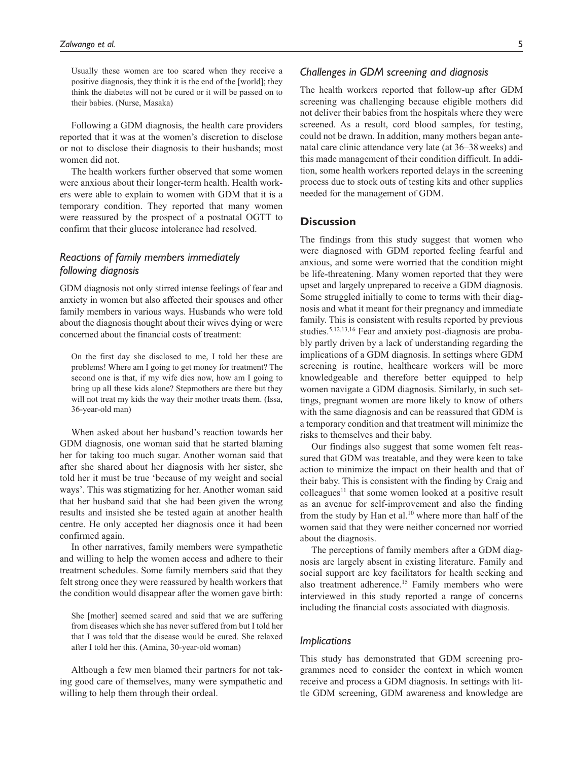Usually these women are too scared when they receive a positive diagnosis, they think it is the end of the [world]; they think the diabetes will not be cured or it will be passed on to their babies. (Nurse, Masaka)

Following a GDM diagnosis, the health care providers reported that it was at the women's discretion to disclose or not to disclose their diagnosis to their husbands; most women did not.

The health workers further observed that some women were anxious about their longer-term health. Health workers were able to explain to women with GDM that it is a temporary condition. They reported that many women were reassured by the prospect of a postnatal OGTT to confirm that their glucose intolerance had resolved.

# *Reactions of family members immediately following diagnosis*

GDM diagnosis not only stirred intense feelings of fear and anxiety in women but also affected their spouses and other family members in various ways. Husbands who were told about the diagnosis thought about their wives dying or were concerned about the financial costs of treatment:

On the first day she disclosed to me, I told her these are problems! Where am I going to get money for treatment? The second one is that, if my wife dies now, how am I going to bring up all these kids alone? Stepmothers are there but they will not treat my kids the way their mother treats them. (Issa, 36-year-old man)

When asked about her husband's reaction towards her GDM diagnosis, one woman said that he started blaming her for taking too much sugar. Another woman said that after she shared about her diagnosis with her sister, she told her it must be true 'because of my weight and social ways'. This was stigmatizing for her. Another woman said that her husband said that she had been given the wrong results and insisted she be tested again at another health centre. He only accepted her diagnosis once it had been confirmed again.

In other narratives, family members were sympathetic and willing to help the women access and adhere to their treatment schedules. Some family members said that they felt strong once they were reassured by health workers that the condition would disappear after the women gave birth:

She [mother] seemed scared and said that we are suffering from diseases which she has never suffered from but I told her that I was told that the disease would be cured. She relaxed after I told her this. (Amina, 30-year-old woman)

Although a few men blamed their partners for not taking good care of themselves, many were sympathetic and willing to help them through their ordeal.

# *Challenges in GDM screening and diagnosis*

The health workers reported that follow-up after GDM screening was challenging because eligible mothers did not deliver their babies from the hospitals where they were screened. As a result, cord blood samples, for testing, could not be drawn. In addition, many mothers began antenatal care clinic attendance very late (at 36–38weeks) and this made management of their condition difficult. In addition, some health workers reported delays in the screening process due to stock outs of testing kits and other supplies needed for the management of GDM.

# **Discussion**

The findings from this study suggest that women who were diagnosed with GDM reported feeling fearful and anxious, and some were worried that the condition might be life-threatening. Many women reported that they were upset and largely unprepared to receive a GDM diagnosis. Some struggled initially to come to terms with their diagnosis and what it meant for their pregnancy and immediate family. This is consistent with results reported by previous studies.<sup>5,12,13,16</sup> Fear and anxiety post-diagnosis are probably partly driven by a lack of understanding regarding the implications of a GDM diagnosis. In settings where GDM screening is routine, healthcare workers will be more knowledgeable and therefore better equipped to help women navigate a GDM diagnosis. Similarly, in such settings, pregnant women are more likely to know of others with the same diagnosis and can be reassured that GDM is a temporary condition and that treatment will minimize the risks to themselves and their baby.

Our findings also suggest that some women felt reassured that GDM was treatable, and they were keen to take action to minimize the impact on their health and that of their baby. This is consistent with the finding by Craig and  $colleagues<sup>11</sup>$  that some women looked at a positive result as an avenue for self-improvement and also the finding from the study by Han et al.<sup>10</sup> where more than half of the women said that they were neither concerned nor worried about the diagnosis.

The perceptions of family members after a GDM diagnosis are largely absent in existing literature. Family and social support are key facilitators for health seeking and also treatment adherence.<sup>15</sup> Family members who were interviewed in this study reported a range of concerns including the financial costs associated with diagnosis.

### *Implications*

This study has demonstrated that GDM screening programmes need to consider the context in which women receive and process a GDM diagnosis. In settings with little GDM screening, GDM awareness and knowledge are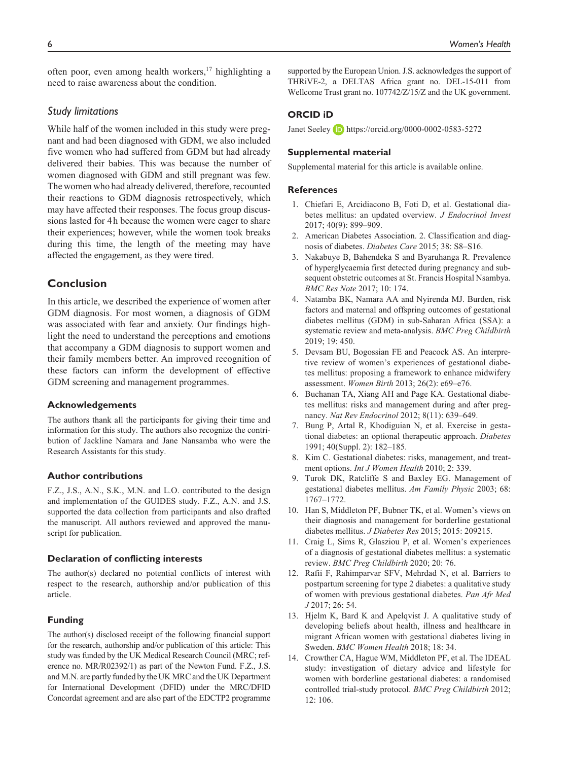often poor, even among health workers,<sup>17</sup> highlighting a need to raise awareness about the condition.

### *Study limitations*

While half of the women included in this study were pregnant and had been diagnosed with GDM, we also included five women who had suffered from GDM but had already delivered their babies. This was because the number of women diagnosed with GDM and still pregnant was few. The women who had already delivered, therefore, recounted their reactions to GDM diagnosis retrospectively, which may have affected their responses. The focus group discussions lasted for 4h because the women were eager to share their experiences; however, while the women took breaks during this time, the length of the meeting may have affected the engagement, as they were tired.

# **Conclusion**

In this article, we described the experience of women after GDM diagnosis. For most women, a diagnosis of GDM was associated with fear and anxiety. Our findings highlight the need to understand the perceptions and emotions that accompany a GDM diagnosis to support women and their family members better. An improved recognition of these factors can inform the development of effective GDM screening and management programmes.

#### **Acknowledgements**

The authors thank all the participants for giving their time and information for this study. The authors also recognize the contribution of Jackline Namara and Jane Nansamba who were the Research Assistants for this study.

#### **Author contributions**

F.Z., J.S., A.N., S.K., M.N. and L.O. contributed to the design and implementation of the GUIDES study. F.Z., A.N. and J.S. supported the data collection from participants and also drafted the manuscript. All authors reviewed and approved the manuscript for publication.

#### **Declaration of conflicting interests**

The author(s) declared no potential conflicts of interest with respect to the research, authorship and/or publication of this article.

### **Funding**

The author(s) disclosed receipt of the following financial support for the research, authorship and/or publication of this article: This study was funded by the UK Medical Research Council (MRC; reference no. MR/R02392/1) as part of the Newton Fund. F.Z., J.S. and M.N. are partly funded by the UK MRC and the UK Department for International Development (DFID) under the MRC/DFID Concordat agreement and are also part of the EDCTP2 programme supported by the European Union. J.S. acknowledges the support of THRiVE-2, a DELTAS Africa grant no. DEL-15-011 from Wellcome Trust grant no. 107742/Z/15/Z and the UK government.

# **ORCID iD**

Janet Seeley **iD** <https://orcid.org/0000-0002-0583-5272>

### **Supplemental material**

Supplemental material for this article is available online.

### **References**

- 1. Chiefari E, Arcidiacono B, Foti D, et al. Gestational diabetes mellitus: an updated overview. *J Endocrinol Invest* 2017; 40(9): 899–909.
- 2. American Diabetes Association. 2. Classification and diagnosis of diabetes. *Diabetes Care* 2015; 38: S8–S16.
- 3. Nakabuye B, Bahendeka S and Byaruhanga R. Prevalence of hyperglycaemia first detected during pregnancy and subsequent obstetric outcomes at St. Francis Hospital Nsambya. *BMC Res Note* 2017; 10: 174.
- 4. Natamba BK, Namara AA and Nyirenda MJ. Burden, risk factors and maternal and offspring outcomes of gestational diabetes mellitus (GDM) in sub-Saharan Africa (SSA): a systematic review and meta-analysis. *BMC Preg Childbirth* 2019; 19: 450.
- 5. Devsam BU, Bogossian FE and Peacock AS. An interpretive review of women's experiences of gestational diabetes mellitus: proposing a framework to enhance midwifery assessment. *Women Birth* 2013; 26(2): e69–e76.
- 6. Buchanan TA, Xiang AH and Page KA. Gestational diabetes mellitus: risks and management during and after pregnancy. *Nat Rev Endocrinol* 2012; 8(11): 639–649.
- 7. Bung P, Artal R, Khodiguian N, et al. Exercise in gestational diabetes: an optional therapeutic approach. *Diabetes* 1991; 40(Suppl. 2): 182–185.
- 8. Kim C. Gestational diabetes: risks, management, and treatment options. *Int J Women Health* 2010; 2: 339.
- 9. Turok DK, Ratcliffe S and Baxley EG. Management of gestational diabetes mellitus. *Am Family Physic* 2003; 68: 1767–1772.
- 10. Han S, Middleton PF, Bubner TK, et al. Women's views on their diagnosis and management for borderline gestational diabetes mellitus. *J Diabetes Res* 2015; 2015: 209215.
- 11. Craig L, Sims R, Glasziou P, et al. Women's experiences of a diagnosis of gestational diabetes mellitus: a systematic review. *BMC Preg Childbirth* 2020; 20: 76.
- 12. Rafii F, Rahimparvar SFV, Mehrdad N, et al. Barriers to postpartum screening for type 2 diabetes: a qualitative study of women with previous gestational diabetes. *Pan Afr Med J* 2017; 26: 54.
- 13. Hjelm K, Bard K and Apelqvist J. A qualitative study of developing beliefs about health, illness and healthcare in migrant African women with gestational diabetes living in Sweden. *BMC Women Health* 2018; 18: 34.
- 14. Crowther CA, Hague WM, Middleton PF, et al. The IDEAL study: investigation of dietary advice and lifestyle for women with borderline gestational diabetes: a randomised controlled trial-study protocol. *BMC Preg Childbirth* 2012; 12: 106.